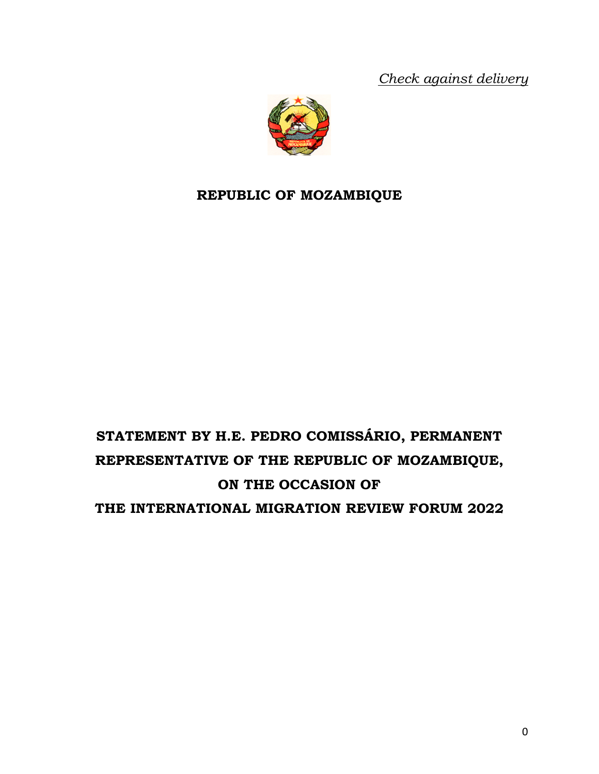*Check against delivery* 



# **REPUBLIC OF MOZAMBIQUE**

# **STATEMENT BY H.E. PEDRO COMISSÁRIO, PERMANENT REPRESENTATIVE OF THE REPUBLIC OF MOZAMBIQUE, ON THE OCCASION OF THE INTERNATIONAL MIGRATION REVIEW FORUM 2022**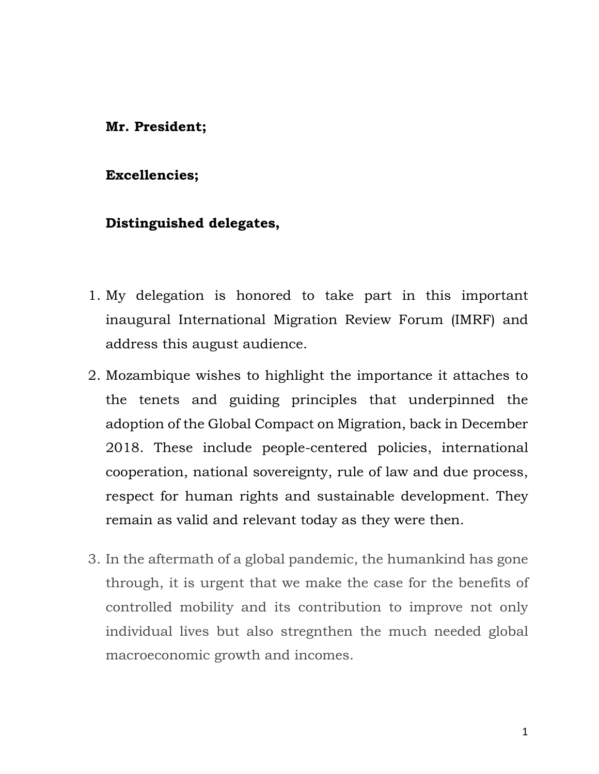#### **Mr. President;**

#### **Excellencies;**

#### **Distinguished delegates,**

- 1. My delegation is honored to take part in this important inaugural International Migration Review Forum (IMRF) and address this august audience.
- 2. Mozambique wishes to highlight the importance it attaches to the tenets and guiding principles that underpinned the adoption of the Global Compact on Migration, back in December 2018. These include people-centered policies, international cooperation, national sovereignty, rule of law and due process, respect for human rights and sustainable development. They remain as valid and relevant today as they were then.
- 3. In the aftermath of a global pandemic, the humankind has gone through, it is urgent that we make the case for the benefits of controlled mobility and its contribution to improve not only individual lives but also stregnthen the much needed global macroeconomic growth and incomes.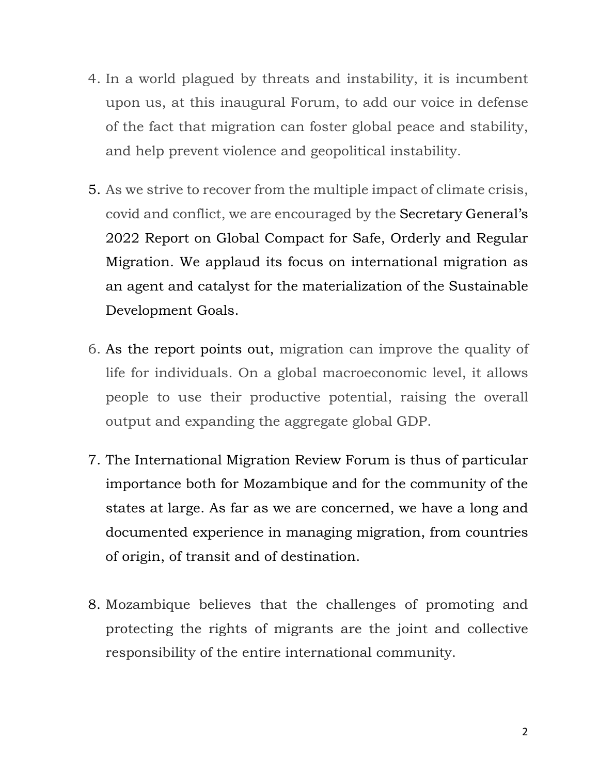- 4. In a world plagued by threats and instability, it is incumbent upon us, at this inaugural Forum, to add our voice in defense of the fact that migration can foster global peace and stability, and help prevent violence and geopolitical instability.
- 5. As we strive to recover from the multiple impact of climate crisis, covid and conflict, we are encouraged by the Secretary General's 2022 Report on Global Compact for Safe, Orderly and Regular Migration. We applaud its focus on international migration as an agent and catalyst for the materialization of the Sustainable Development Goals.
- 6. As the report points out, migration can improve the quality of life for individuals. On a global macroeconomic level, it allows people to use their productive potential, raising the overall output and expanding the aggregate global GDP.
- 7. The International Migration Review Forum is thus of particular importance both for Mozambique and for the community of the states at large. As far as we are concerned, we have a long and documented experience in managing migration, from countries of origin, of transit and of destination.
- 8. Mozambique believes that the challenges of promoting and protecting the rights of migrants are the joint and collective responsibility of the entire international community.